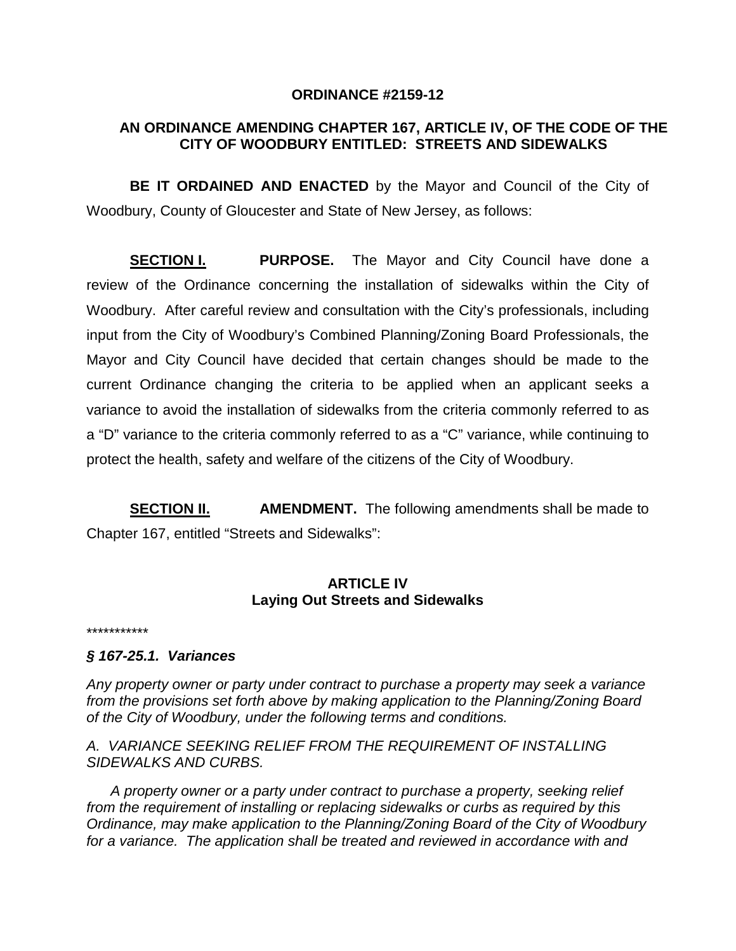## **ORDINANCE #2159-12**

## **AN ORDINANCE AMENDING CHAPTER 167, ARTICLE IV, OF THE CODE OF THE CITY OF WOODBURY ENTITLED: STREETS AND SIDEWALKS**

**BE IT ORDAINED AND ENACTED** by the Mayor and Council of the City of Woodbury, County of Gloucester and State of New Jersey, as follows:

**SECTION I. PURPOSE.** The Mayor and City Council have done a review of the Ordinance concerning the installation of sidewalks within the City of Woodbury. After careful review and consultation with the City's professionals, including input from the City of Woodbury's Combined Planning/Zoning Board Professionals, the Mayor and City Council have decided that certain changes should be made to the current Ordinance changing the criteria to be applied when an applicant seeks a variance to avoid the installation of sidewalks from the criteria commonly referred to as a "D" variance to the criteria commonly referred to as a "C" variance, while continuing to protect the health, safety and welfare of the citizens of the City of Woodbury.

**SECTION II. AMENDMENT.** The following amendments shall be made to Chapter 167, entitled "Streets and Sidewalks":

## **ARTICLE IV Laying Out Streets and Sidewalks**

\*\*\*\*\*\*\*\*\*\*\*

## *§ 167-25.1. Variances*

*Any property owner or party under contract to purchase a property may seek a variance from the provisions set forth above by making application to the Planning/Zoning Board of the City of Woodbury, under the following terms and conditions.*

*A. VARIANCE SEEKING RELIEF FROM THE REQUIREMENT OF INSTALLING SIDEWALKS AND CURBS.*

 *A property owner or a party under contract to purchase a property, seeking relief from the requirement of installing or replacing sidewalks or curbs as required by this Ordinance, may make application to the Planning/Zoning Board of the City of Woodbury for a variance. The application shall be treated and reviewed in accordance with and*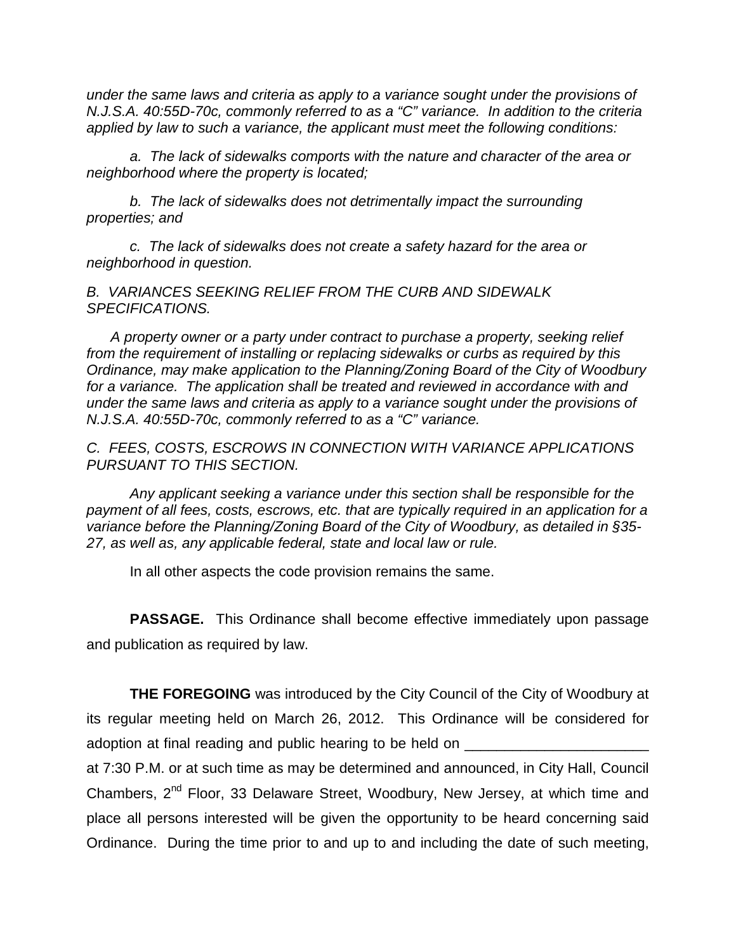*under the same laws and criteria as apply to a variance sought under the provisions of N.J.S.A. 40:55D-70c, commonly referred to as a "C" variance. In addition to the criteria applied by law to such a variance, the applicant must meet the following conditions:*

*a. The lack of sidewalks comports with the nature and character of the area or neighborhood where the property is located;*

*b. The lack of sidewalks does not detrimentally impact the surrounding properties; and*

*c. The lack of sidewalks does not create a safety hazard for the area or neighborhood in question.*

*B. VARIANCES SEEKING RELIEF FROM THE CURB AND SIDEWALK SPECIFICATIONS.*

 *A property owner or a party under contract to purchase a property, seeking relief from the requirement of installing or replacing sidewalks or curbs as required by this Ordinance, may make application to the Planning/Zoning Board of the City of Woodbury for a variance. The application shall be treated and reviewed in accordance with and under the same laws and criteria as apply to a variance sought under the provisions of N.J.S.A. 40:55D-70c, commonly referred to as a "C" variance.* 

*C. FEES, COSTS, ESCROWS IN CONNECTION WITH VARIANCE APPLICATIONS PURSUANT TO THIS SECTION.*

*Any applicant seeking a variance under this section shall be responsible for the payment of all fees, costs, escrows, etc. that are typically required in an application for a variance before the Planning/Zoning Board of the City of Woodbury, as detailed in §35- 27, as well as, any applicable federal, state and local law or rule.*

In all other aspects the code provision remains the same.

**PASSAGE.** This Ordinance shall become effective immediately upon passage and publication as required by law.

**THE FOREGOING** was introduced by the City Council of the City of Woodbury at its regular meeting held on March 26, 2012. This Ordinance will be considered for adoption at final reading and public hearing to be held on

at 7:30 P.M. or at such time as may be determined and announced, in City Hall, Council Chambers, 2<sup>nd</sup> Floor, 33 Delaware Street, Woodbury, New Jersey, at which time and place all persons interested will be given the opportunity to be heard concerning said Ordinance. During the time prior to and up to and including the date of such meeting,